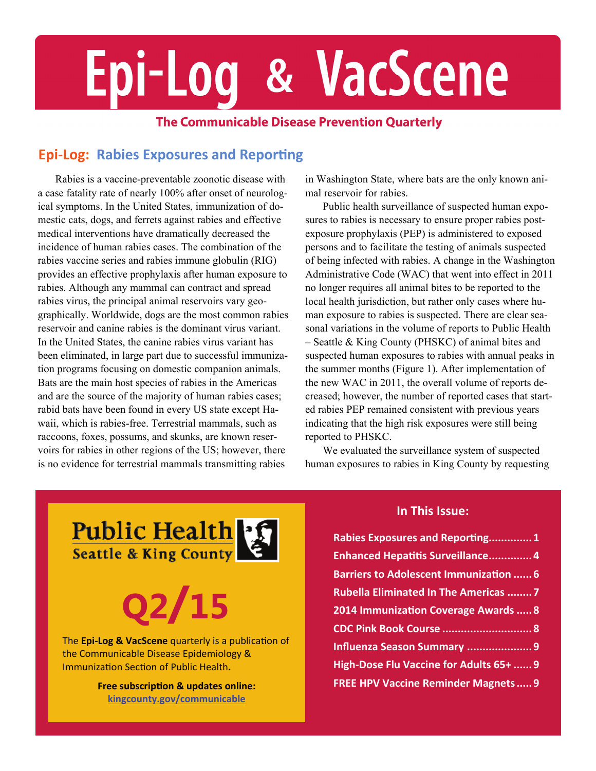# Epi-Log & VacScene

#### **The Communicable Disease Prevention Quarterly**

#### *<u>Epi-Log: Rabies Exposures and Reporting*</u>

Rabies is a vaccine-preventable zoonotic disease with a case fatality rate of nearly 100% after onset of neurological symptoms. In the United States, immunization of domestic cats, dogs, and ferrets against rabies and effective medical interventions have dramatically decreased the incidence of human rabies cases. The combination of the rabies vaccine series and rabies immune globulin (RIG) provides an effective prophylaxis after human exposure to rabies. Although any mammal can contract and spread rabies virus, the principal animal reservoirs vary geographically. Worldwide, dogs are the most common rabies reservoir and canine rabies is the dominant virus variant. In the United States, the canine rabies virus variant has been eliminated, in large part due to successful immunization programs focusing on domestic companion animals. Bats are the main host species of rabies in the Americas and are the source of the majority of human rabies cases; rabid bats have been found in every US state except Hawaii, which is rabies-free. Terrestrial mammals, such as raccoons, foxes, possums, and skunks, are known reservoirs for rabies in other regions of the US; however, there is no evidence for terrestrial mammals transmitting rabies

in Washington State, where bats are the only known animal reservoir for rabies.

Public health surveillance of suspected human exposures to rabies is necessary to ensure proper rabies postexposure prophylaxis (PEP) is administered to exposed persons and to facilitate the testing of animals suspected of being infected with rabies. A change in the Washington Administrative Code (WAC) that went into effect in 2011 no longer requires all animal bites to be reported to the local health jurisdiction, but rather only cases where human exposure to rabies is suspected. There are clear seasonal variations in the volume of reports to Public Health – Seattle & King County (PHSKC) of animal bites and suspected human exposures to rabies with annual peaks in the summer months [\(Figure 1\).](#page-1-0) After implementation of the new WAC in 2011, the overall volume of reports decreased; however, the number of reported cases that started rabies PEP remained consistent with previous years indicating that the high risk exposures were still being reported to PHSKC.

We evaluated the surveillance system of suspected human exposures to rabies in King County by requesting

Public Health<br>Seattle & King County

## **Q2/15**

The **Epi‐Log & VacScene** quarterly is a publicaƟon of the Communicable Disease Epidemiology & Immunization Section of Public Health.

> **Free subscripƟon & updates online: [kingcounty.gov/communicable](http://www.kingcounty.gov/communicable)**

#### **In This Issue:**

| Rabies Exposures and Reporting1               |
|-----------------------------------------------|
| <b>Enhanced Hepatitis Surveillance4</b>       |
| <b>Barriers to Adolescent Immunization  6</b> |
| <b>Rubella Eliminated In The Americas  7</b>  |
| 2014 Immunization Coverage Awards  8          |
|                                               |
| Influenza Season Summary  9                   |
| High-Dose Flu Vaccine for Adults 65+  9       |
| <b>FREE HPV Vaccine Reminder Magnets 9</b>    |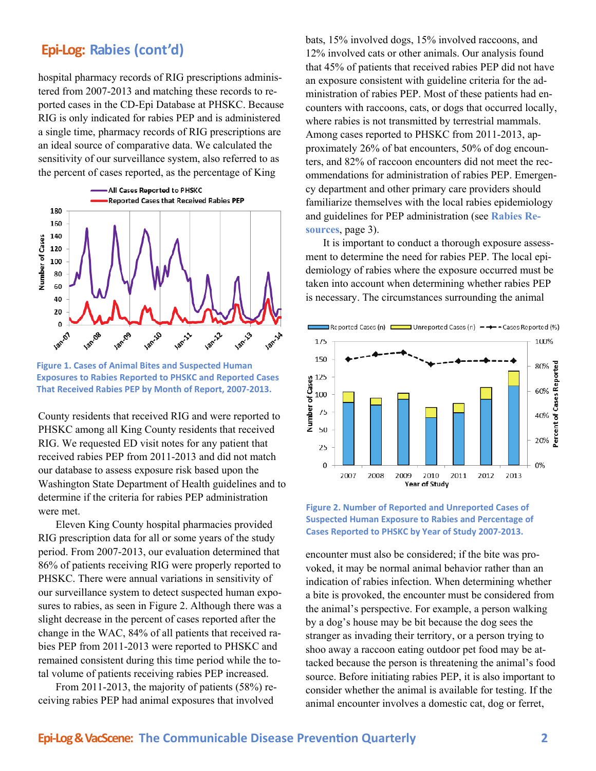hospital pharmacy records of RIG prescriptions administered from 2007-2013 and matching these records to reported cases in the CD-Epi Database at PHSKC. Because RIG is only indicated for rabies PEP and is administered a single time, pharmacy records of RIG prescriptions are an ideal source of comparative data. We calculated the sensitivity of our surveillance system, also referred to as the percent of cases reported, as the percentage of King



**Figure 1. Cases of Animal Bites and Suspected Human Exposures to Rabies Reported to PHSKC and Reported Cases That Received Rabies PEP by Month of Report, 2007‐2013.**

County residents that received RIG and were reported to PHSKC among all King County residents that received RIG. We requested ED visit notes for any patient that received rabies PEP from 2011-2013 and did not match our database to assess exposure risk based upon the Washington State Department of Health guidelines and to determine if the criteria for rabies PEP administration were met.

Eleven King County hospital pharmacies provided RIG prescription data for all or some years of the study period. From 2007-2013, our evaluation determined that 86% of patients receiving RIG were properly reported to PHSKC. There were annual variations in sensitivity of our surveillance system to detect suspected human exposures to rabies, as seen in Figure 2. Although there was a slight decrease in the percent of cases reported after the change in the WAC, 84% of all patients that received rabies PEP from 2011-2013 were reported to PHSKC and remained consistent during this time period while the total volume of patients receiving rabies PEP increased.

From 2011-2013, the majority of patients (58%) receiving rabies PEP had animal exposures that involved

<span id="page-1-0"></span>**Epi-Log: Rabies (cont'd)** bats, 15% involved dogs, 15% involved raccoons, and 12% involved cats or other animals. Our analysis found that 45% of patients that received rabies PEP did not have an exposure consistent with guideline criteria for the administration of rabies PEP. Most of these patients had encounters with raccoons, cats, or dogs that occurred locally, where rabies is not transmitted by terrestrial mammals. Among cases reported to PHSKC from 2011-2013, approximately 26% of bat encounters, 50% of dog encounters, and 82% of raccoon encounters did not meet the recommendations for administration of rabies PEP. Emergency department and other primary care providers should familiarize themselves with the local rabies epidemiology [and guidelines for PEP administration \(see](#page-2-0) **Rabies Resources**, page 3).

> It is important to conduct a thorough exposure assessment to determine the need for rabies PEP. The local epidemiology of rabies where the exposure occurred must be taken into account when determining whether rabies PEP is necessary. The circumstances surrounding the animal





encounter must also be considered; if the bite was provoked, it may be normal animal behavior rather than an indication of rabies infection. When determining whether a bite is provoked, the encounter must be considered from the animal's perspective. For example, a person walking by a dog's house may be bit because the dog sees the stranger as invading their territory, or a person trying to shoo away a raccoon eating outdoor pet food may be attacked because the person is threatening the animal's food source. Before initiating rabies PEP, it is also important to consider whether the animal is available for testing. If the animal encounter involves a domestic cat, dog or ferret,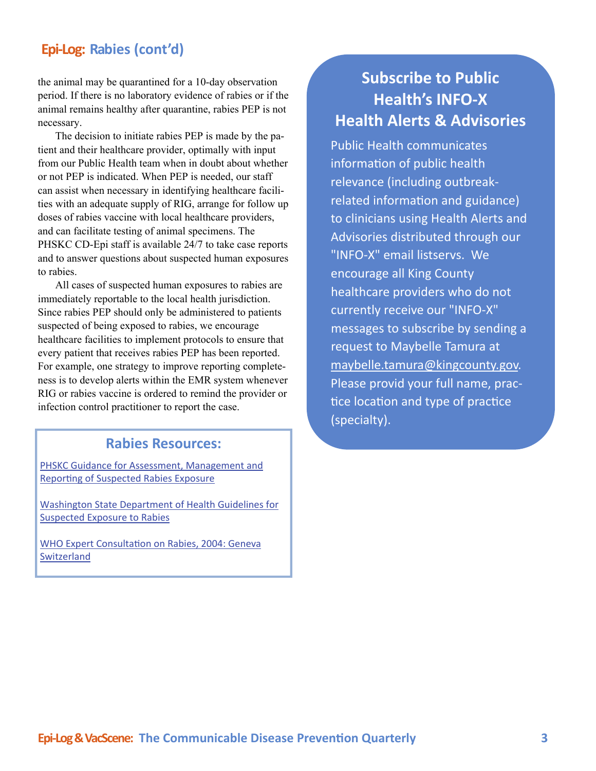#### <span id="page-2-0"></span>**Epi‐Log: Rabies (cont'd)**

the animal may be quarantined for a 10-day observation period. If there is no laboratory evidence of rabies or if the animal remains healthy after quarantine, rabies PEP is not necessary.

The decision to initiate rabies PEP is made by the patient and their healthcare provider, optimally with input from our Public Health team when in doubt about whether or not PEP is indicated. When PEP is needed, our staff can assist when necessary in identifying healthcare facilities with an adequate supply of RIG, arrange for follow up doses of rabies vaccine with local healthcare providers, and can facilitate testing of animal specimens. The PHSKC CD-Epi staff is available 24/7 to take case reports and to answer questions about suspected human exposures to rabies.

All cases of suspected human exposures to rabies are immediately reportable to the local health jurisdiction. Since rabies PEP should only be administered to patients suspected of being exposed to rabies, we encourage healthcare facilities to implement protocols to ensure that every patient that receives rabies PEP has been reported. For example, one strategy to improve reporting completeness is to develop alerts within the EMR system whenever RIG or rabies vaccine is ordered to remind the provider or infection control practitioner to report the case.

#### **Rabies Resources:**

PHSKC Guidance for Assessment, [Management](http://www.kingcounty.gov/healthservices/health/communicable/providers/RabiesAssessment.aspx) and Reporting of [Suspected](http://www.kingcounty.gov/healthservices/health/communicable/providers/RabiesAssessment.aspx) Rabies Exposure

Washington State [Department](http://www.doh.wa.gov/Portals/1/Documents/5100/420-073-Guideline-RabiesSuspectedExposure.pdf) of Health Guidelines for [Suspected](http://www.doh.wa.gov/Portals/1/Documents/5100/420-073-Guideline-RabiesSuspectedExposure.pdf) Exposure to Rabies

WHO Expert [Consulta](http://whqlibdoc.who.int/trs/WHO_TRS_931_eng.pdf?ua=1)tion on Rabies, 2004: Geneva [Switzerland](http://whqlibdoc.who.int/trs/WHO_TRS_931_eng.pdf?ua=1)

#### **Subscribe to Public Health's INFO‐X Health Alerts & Advisories**

Public Health communicates information of public health relevance (including outbreak‐ related information and guidance) to clinicians using Health Alerts and Advisories distributed through our "INFO‐X" email listservs. We encourage all King County healthcare providers who do not currently receive our "INFO‐X" messages to subscribe by sending a request to Maybelle Tamura at [maybelle.tamura@kingcounty.gov](mailto:maybelle.tamura@kingcounty.gov). Please provid your full name, prac‐ tice location and type of practice (specialty).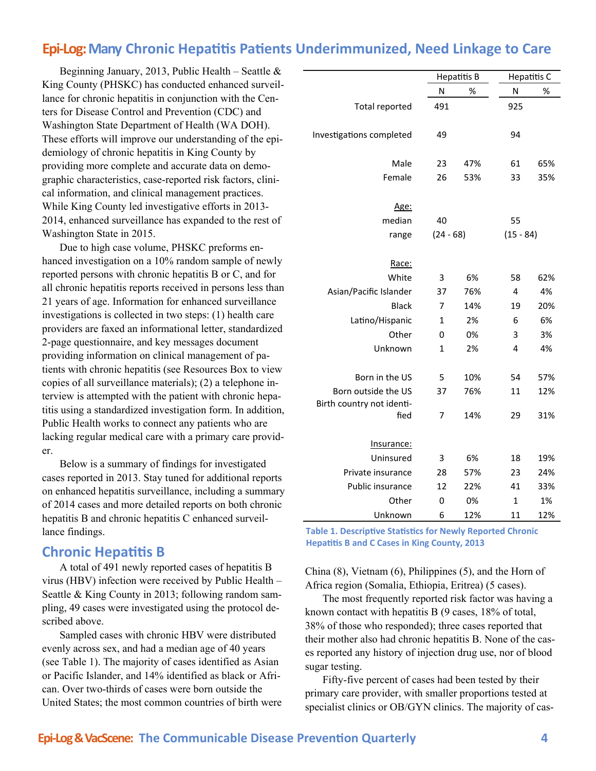#### <span id="page-3-0"></span>**Epi‐Log:Many Chronic HepaƟƟs PaƟents Underimmunized, Need Linkage to Care**

Beginning January, 2013, Public Health – Seattle  $\&$ King County (PHSKC) has conducted enhanced surveillance for chronic hepatitis in conjunction with the Centers for Disease Control and Prevention (CDC) and Washington State Department of Health (WA DOH). These efforts will improve our understanding of the epidemiology of chronic hepatitis in King County by providing more complete and accurate data on demographic characteristics, case-reported risk factors, clinical information, and clinical management practices. While King County led investigative efforts in 2013- 2014, enhanced surveillance has expanded to the rest of Washington State in 2015.

Due to high case volume, PHSKC preforms enhanced investigation on a 10% random sample of newly reported persons with chronic hepatitis B or C, and for all chronic hepatitis reports received in persons less than 21 years of age. Information for enhanced surveillance investigations is collected in two steps: (1) health care providers are faxed an informational letter, standardized 2-page questionnaire, and key messages document providing information on clinical management of patients with chronic hepatitis (see Resources Box to view copies of all surveillance materials); (2) a telephone interview is attempted with the patient with chronic hepatitis using a standardized investigation form. In addition, Public Health works to connect any patients who are lacking regular medical care with a primary care provider.

Below is a summary of findings for investigated cases reported in 2013. Stay tuned for additional reports on enhanced hepatitis surveillance, including a summary of 2014 cases and more detailed reports on both chronic hepatitis B and chronic hepatitis C enhanced surveillance findings.

#### **Chronic HepaƟƟs B**

A total of 491 newly reported cases of hepatitis B virus (HBV) infection were received by Public Health – Seattle & King County in 2013; following random sampling, 49 cases were investigated using the protocol described above.

Sampled cases with chronic HBV were distributed evenly across sex, and had a median age of 40 years (see Table 1). The majority of cases identified as Asian or Pacific Islander, and 14% identified as black or African. Over two-thirds of cases were born outside the United States; the most common countries of birth were

|                                   |     | <b>Hepatitis B</b> |     | Hepatitis C |  |
|-----------------------------------|-----|--------------------|-----|-------------|--|
|                                   | N   | %                  | N   | %           |  |
| <b>Total reported</b>             | 491 |                    | 925 |             |  |
| Investigations completed          | 49  |                    | 94  |             |  |
| Male                              | 23  | 47%                | 61  | 65%         |  |
| Female                            | 26  | 53%                | 33  | 35%         |  |
| Age:                              |     |                    |     |             |  |
| median                            | 40  |                    | 55  |             |  |
| range                             |     | $(24 - 68)$        |     | $(15 - 84)$ |  |
| Race:                             |     |                    |     |             |  |
| White                             | 3   | 6%                 | 58  | 62%         |  |
| Asian/Pacific Islander            | 37  | 76%                | 4   | 4%          |  |
| <b>Black</b>                      | 7   | 14%                | 19  | 20%         |  |
| Latino/Hispanic                   | 1   | 2%                 | 6   | 6%          |  |
| Other                             | 0   | 0%                 | 3   | 3%          |  |
| Unknown                           | 1   | 2%                 | 4   | 4%          |  |
| Born in the US                    | 5   | 10%                | 54  | 57%         |  |
| Born outside the US               | 37  | 76%                | 11  | 12%         |  |
| Birth country not identi-<br>fied | 7   | 14%                | 29  | 31%         |  |
| Insurance:                        |     |                    |     |             |  |
| Uninsured                         | 3   | 6%                 | 18  | 19%         |  |
| Private insurance                 | 28  | 57%                | 23  | 24%         |  |
| Public insurance                  | 12  | 22%                | 41  | 33%         |  |
| Other                             | 0   | 0%                 | 1   | 1%          |  |
| Unknown                           | 6   | 12%                | 11  | 12%         |  |

 **Table 1. Descriptive Statistics for Newly Reported Chronic HepaƟƟs B and C Cases in King County, 2013**

China (8), Vietnam (6), Philippines (5), and the Horn of Africa region (Somalia, Ethiopia, Eritrea) (5 cases).

The most frequently reported risk factor was having a known contact with hepatitis B (9 cases, 18% of total, 38% of those who responded); three cases reported that their mother also had chronic hepatitis B. None of the cases reported any history of injection drug use, nor of blood sugar testing.

Fifty-five percent of cases had been tested by their primary care provider, with smaller proportions tested at specialist clinics or OB/GYN clinics. The majority of cas-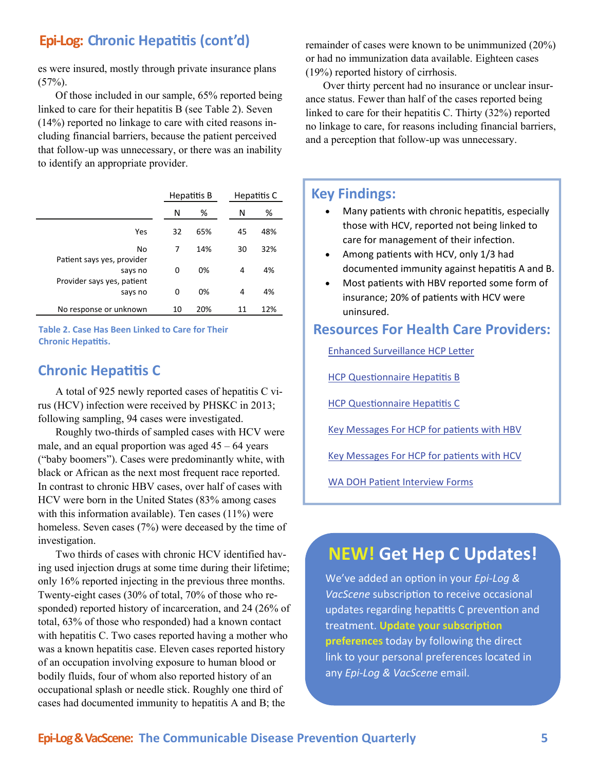#### **Epi‐Log: Chronic HepaƟƟs (cont'd)**

es were insured, mostly through private insurance plans  $(57\%)$ .

Of those included in our sample, 65% reported being linked to care for their hepatitis B (see Table 2). Seven (14%) reported no linkage to care with cited reasons including financial barriers, because the patient perceived that follow-up was unnecessary, or there was an inability to identify an appropriate provider.

|                                       | Hepatitis B |     |    | Hepatitis C |
|---------------------------------------|-------------|-----|----|-------------|
|                                       | N           | ℅   | Ν  | %           |
| Yes                                   | 32          | 65% | 45 | 48%         |
| No<br>Patient says yes, provider      | 7           | 14% | 30 | 32%         |
| says no<br>Provider says yes, patient | 0           | 0%  | 4  | 4%          |
| says no                               | 0           | 0%  | 4  | 4%          |
| No response or unknown                | 10          | 20% | 11 | 12%         |

**Table 2. Case Has Been Linked to Care for Their Chronic HepaƟƟs.**

#### **Chronic HepaƟƟs C**

A total of 925 newly reported cases of hepatitis C virus (HCV) infection were received by PHSKC in 2013; following sampling, 94 cases were investigated.

Roughly two-thirds of sampled cases with HCV were male, and an equal proportion was aged  $45 - 64$  years ("baby boomers"). Cases were predominantly white, with black or African as the next most frequent race reported. In contrast to chronic HBV cases, over half of cases with HCV were born in the United States (83% among cases with this information available). Ten cases  $(11\%)$  were homeless. Seven cases (7%) were deceased by the time of investigation.

Two thirds of cases with chronic HCV identified having used injection drugs at some time during their lifetime; only 16% reported injecting in the previous three months. Twenty-eight cases (30% of total, 70% of those who responded) reported history of incarceration, and 24 (26% of total, 63% of those who responded) had a known contact with hepatitis C. Two cases reported having a mother who was a known hepatitis case. Eleven cases reported history of an occupation involving exposure to human blood or bodily fluids, four of whom also reported history of an occupational splash or needle stick. Roughly one third of cases had documented immunity to hepatitis A and B; the

remainder of cases were known to be unimmunized (20%) or had no immunization data available. Eighteen cases (19%) reported history of cirrhosis.

Over thirty percent had no insurance or unclear insurance status. Fewer than half of the cases reported being linked to care for their hepatitis C. Thirty (32%) reported no linkage to care, for reasons including financial barriers, and a perception that follow-up was unnecessary.

#### **Key Findings:**

- Many patients with chronic hepatitis, especially those with HCV, reported not being linked to care for management of their infection.
- Among patients with HCV, only 1/3 had documented immunity against hepatitis A and B.
- Most patients with HBV reported some form of insurance; 20% of patients with HCV were uninsured.

#### **Resources For Health Care Providers:**

Enhanced [Surveillance](http://www.kingcounty.gov/healthservices/health/communicable/providers/~/media/health/publichealth/documents/communicable/Letter-HCP-Chronic-Viral-Hepatitis.ashx) HCP Letter

HCP Questi[onnaire](http://www.kingcounty.gov/healthservices/health/communicable/providers/~/media/health/publichealth/documents/communicable/Hepatitis-B-HCP-Questionnaire.ashx) Hepatitis B

**HCP Questi[onnaire](http://www.kingcounty.gov/healthservices/health/communicable/providers/~/media/health/publichealth/documents/communicable/Hepatitis-C-HCP-Questionnaire.ashx) Hepatitis C** 

Key [Messages](http://www.kingcounty.gov/healthservices/health/communicable/providers/~/media/health/publichealth/documents/communicable/Key-Messages-HCP-Hep-B-virus-infection-July-2013.ashx) For HCP for patients with HBV

Key [Messages](http://www.kingcounty.gov/healthservices/health/communicable/providers/~/media/health/publichealth/documents/communicable/Key-Messages-HCP-Hep-C-virus-infection-July-2013.ashx) For HCP for patients with HCV

WA DOH Patient [Interview](http://www.doh.wa.gov/Portals/1/Documents/5100/210-078-ReportForm-HepBC-Chronic.pdf) Forms

#### **NEW! Get Hep C Updates!**

We've added an opƟon in your *Epi‐Log & VacScene* subscription to receive occasional updates regarding hepatitis C prevention and **treatment.** Update your subscription **preferences** today by following the direct link to your personal preferences located in any *Epi‐Log & VacScene* email.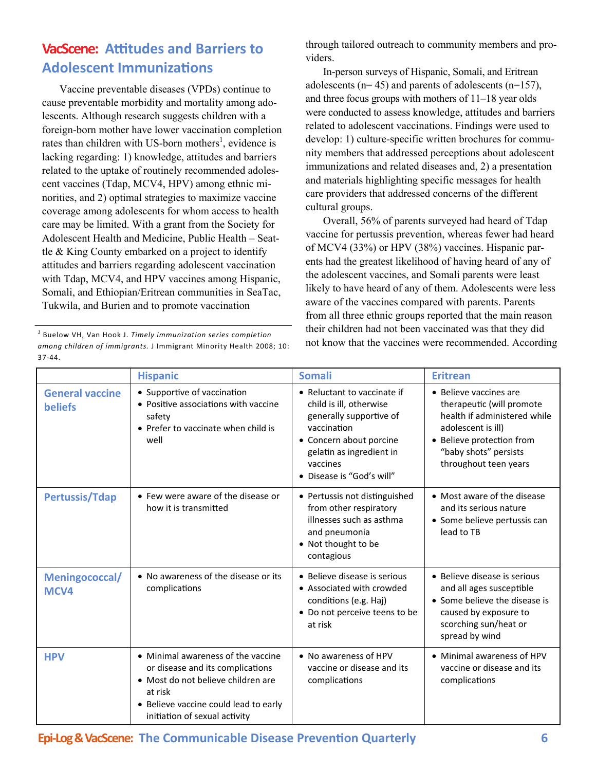#### <span id="page-5-0"></span>**VacScene: Aƫtudes and Barriers to Adolescent ImmunizaƟons**

Vaccine preventable diseases (VPDs) continue to cause preventable morbidity and mortality among adolescents. Although research suggests children with a foreign-born mother have lower vaccination completion rates than children with US-born mothers<sup>1</sup>, evidence is lacking regarding: 1) knowledge, attitudes and barriers related to the uptake of routinely recommended adolescent vaccines (Tdap, MCV4, HPV) among ethnic minorities, and 2) optimal strategies to maximize vaccine coverage among adolescents for whom access to health care may be limited. With a grant from the Society for Adolescent Health and Medicine, Public Health – Seattle & King County embarked on a project to identify attitudes and barriers regarding adolescent vaccination with Tdap, MCV4, and HPV vaccines among Hispanic, Somali, and Ethiopian/Eritrean communities in SeaTac, Tukwila, and Burien and to promote vaccination

*<sup>1</sup>* Buelow VH, Van Hook J. *Timely immunization series completion among children of immigrants.* J Immigrant Minority Health 2008; 10: 37‐44.

through tailored outreach to community members and providers.

In-person surveys of Hispanic, Somali, and Eritrean adolescents ( $n= 45$ ) and parents of adolescents ( $n=157$ ), and three focus groups with mothers of 11–18 year olds were conducted to assess knowledge, attitudes and barriers related to adolescent vaccinations. Findings were used to develop: 1) culture-specific written brochures for community members that addressed perceptions about adolescent immunizations and related diseases and, 2) a presentation and materials highlighting specific messages for health care providers that addressed concerns of the different cultural groups.

Overall, 56% of parents surveyed had heard of Tdap vaccine for pertussis prevention, whereas fewer had heard of MCV4 (33%) or HPV (38%) vaccines. Hispanic parents had the greatest likelihood of having heard of any of the adolescent vaccines, and Somali parents were least likely to have heard of any of them. Adolescents were less aware of the vaccines compared with parents. Parents from all three ethnic groups reported that the main reason their children had not been vaccinated was that they did not know that the vaccines were recommended. According

|                                          | <b>Hispanic</b>                                                                                                                                                                                   | <b>Somali</b>                                                                                                                                                                                    | <b>Eritrean</b>                                                                                                                                                                          |
|------------------------------------------|---------------------------------------------------------------------------------------------------------------------------------------------------------------------------------------------------|--------------------------------------------------------------------------------------------------------------------------------------------------------------------------------------------------|------------------------------------------------------------------------------------------------------------------------------------------------------------------------------------------|
| <b>General vaccine</b><br><b>beliefs</b> | • Supportive of vaccination<br>• Positive associations with vaccine<br>safety<br>• Prefer to vaccinate when child is<br>well                                                                      | • Reluctant to vaccinate if<br>child is ill, otherwise<br>generally supportive of<br>vaccination<br>• Concern about porcine<br>gelatin as ingredient in<br>vaccines<br>• Disease is "God's will" | • Believe vaccines are<br>therapeutic (will promote<br>health if administered while<br>adolescent is ill)<br>• Believe protection from<br>"baby shots" persists<br>throughout teen years |
| <b>Pertussis/Tdap</b>                    | • Few were aware of the disease or<br>how it is transmitted                                                                                                                                       | • Pertussis not distinguished<br>from other respiratory<br>illnesses such as asthma<br>and pneumonia<br>• Not thought to be<br>contagious                                                        | • Most aware of the disease<br>and its serious nature<br>• Some believe pertussis can<br>lead to TB                                                                                      |
| Meningococcal/<br>MCV4                   | • No awareness of the disease or its<br>complications                                                                                                                                             | • Believe disease is serious<br>• Associated with crowded<br>conditions (e.g. Haj)<br>• Do not perceive teens to be<br>at risk                                                                   | • Believe disease is serious<br>and all ages susceptible<br>• Some believe the disease is<br>caused by exposure to<br>scorching sun/heat or<br>spread by wind                            |
| <b>HPV</b>                               | • Minimal awareness of the vaccine<br>or disease and its complications<br>• Most do not believe children are<br>at risk<br>• Believe vaccine could lead to early<br>initiation of sexual activity | • No awareness of HPV<br>vaccine or disease and its<br>complications                                                                                                                             | • Minimal awareness of HPV<br>vaccine or disease and its<br>complications                                                                                                                |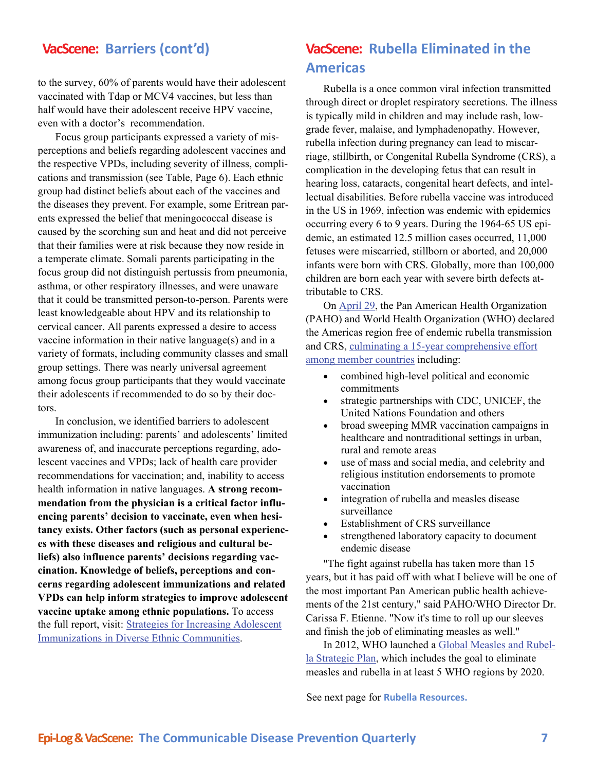#### <span id="page-6-0"></span>**VacScene: Barriers (cont'd)**

to the survey, 60% of parents would have their adolescent vaccinated with Tdap or MCV4 vaccines, but less than half would have their adolescent receive HPV vaccine, even with a doctor's recommendation.

Focus group participants expressed a variety of misperceptions and beliefs regarding adolescent vaccines and the respective VPDs, including severity of illness, complications and transmission [\(see Table, Page 6\).](#page-5-0) Each ethnic group had distinct beliefs about each of the vaccines and the diseases they prevent. For example, some Eritrean parents expressed the belief that meningococcal disease is caused by the scorching sun and heat and did not perceive that their families were at risk because they now reside in a temperate climate. Somali parents participating in the focus group did not distinguish pertussis from pneumonia, asthma, or other respiratory illnesses, and were unaware that it could be transmitted person-to-person. Parents were least knowledgeable about HPV and its relationship to cervical cancer. All parents expressed a desire to access vaccine information in their native language(s) and in a variety of formats, including community classes and small group settings. There was nearly universal agreement among focus group participants that they would vaccinate their adolescents if recommended to do so by their doctors.

In conclusion, we identified barriers to adolescent immunization including: parents' and adolescents' limited awareness of, and inaccurate perceptions regarding, adolescent vaccines and VPDs; lack of health care provider recommendations for vaccination; and, inability to access health information in native languages. **A strong recommendation from the physician is a critical factor influencing parents' decision to vaccinate, even when hesitancy exists. Other factors (such as personal experiences with these diseases and religious and cultural beliefs) also influence parents' decisions regarding vaccination. Knowledge of beliefs, perceptions and concerns regarding adolescent immunizations and related VPDs can help inform strategies to improve adolescent vaccine uptake among ethnic populations.** To access the full report, visit: [Strategies for Increasing Adolescent](http://www.jahonline.org/article/S1054-139X(14)00708-3/pdf)  [Immunizations in Diverse Ethnic Communities.](http://www.jahonline.org/article/S1054-139X(14)00708-3/pdf)

#### **VacScene: Rubella Eliminated in the Americas**

Rubella is a once common viral infection transmitted through direct or droplet respiratory secretions. The illness is typically mild in children and may include rash, lowgrade fever, malaise, and lymphadenopathy. However, rubella infection during pregnancy can lead to miscarriage, stillbirth, or Congenital Rubella Syndrome (CRS), a complication in the developing fetus that can result in hearing loss, cataracts, congenital heart defects, and intellectual disabilities. Before rubella vaccine was introduced in the US in 1969, infection was endemic with epidemics occurring every 6 to 9 years. During the 1964-65 US epidemic, an estimated 12.5 million cases occurred, 11,000 fetuses were miscarried, stillborn or aborted, and 20,000 infants were born with CRS. Globally, more than 100,000 children are born each year with severe birth defects attributable to CRS.

On [April 29,](http://www.paho.org/hq/index.php?option=com_content&view=article&id=10798&Itemid=1926&lang=en) the Pan American Health Organization (PAHO) and World Health Organization (WHO) declared the Americas region free of endemic rubella transmission and CRS, [culminating a 15-year comprehensive effort](http://www.paho.org/hq/index.php?option=com_content&view=article&id=10830%3A10-actions-that-led-elimination-rubella&Itemid=1926&lang=en)  [among member countries](http://www.paho.org/hq/index.php?option=com_content&view=article&id=10830%3A10-actions-that-led-elimination-rubella&Itemid=1926&lang=en) including:

- combined high-level political and economic commitments
- strategic partnerships with CDC, UNICEF, the United Nations Foundation and others
- broad sweeping MMR vaccination campaigns in healthcare and nontraditional settings in urban, rural and remote areas
- use of mass and social media, and celebrity and religious institution endorsements to promote vaccination
- integration of rubella and measles disease surveillance
- Establishment of CRS surveillance
- strengthened laboratory capacity to document endemic disease

"The fight against rubella has taken more than 15 years, but it has paid off with what I believe will be one of the most important Pan American public health achievements of the 21st century," said PAHO/WHO Director Dr. Carissa F. Etienne. "Now it's time to roll up our sleeves and finish the job of eliminating measles as well."

In 2012, WHO launched a [Global Measles and Rubel](http://www.who.int/immunization/newsroom/Measles_Rubella_StrategicPlan_2012_2020.pdf)[la Strategic Plan,](http://www.who.int/immunization/newsroom/Measles_Rubella_StrategicPlan_2012_2020.pdf) which includes the goal to eliminate measles and rubella in at least 5 WHO regions by 2020.

See next page for **Rubella Resources.**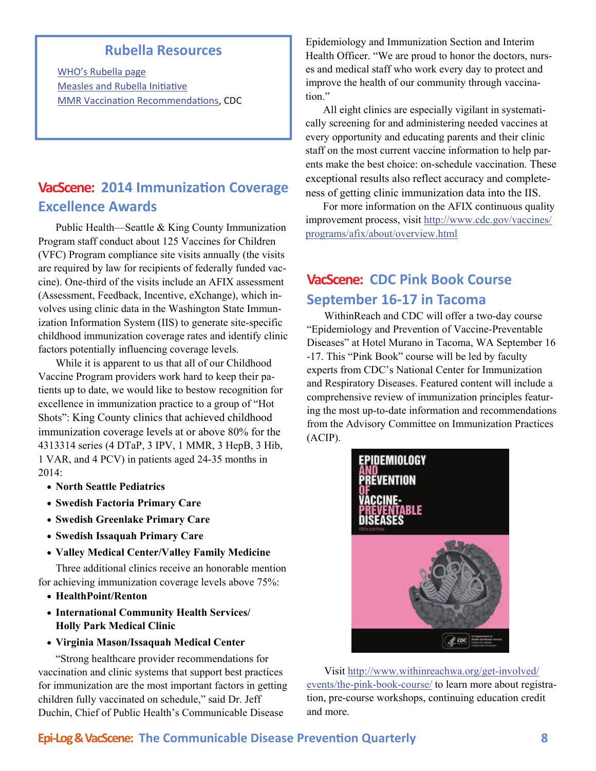#### **Rubella Resources**

<span id="page-7-0"></span>WHO's [Rubella](http://www.who.int/immunization/diseases/rubella/en/) page [Measles](http://www.measlesrubellainitiative.org/) and Rubella Initiative MMR Vaccination [Recommenda](http://www.cdc.gov/mmwr/preview/mmwrhtml/rr6204a1.htm)tions, CDC

#### **VacScene: 2014 ImmunizaƟon Coverage Excellence Awards**

Public Health—Seattle & King County Immunization Program staff conduct about 125 Vaccines for Children (VFC) Program compliance site visits annually (the visits are required by law for recipients of federally funded vaccine). One-third of the visits include an AFIX assessment (Assessment, Feedback, Incentive, eXchange), which involves using clinic data in the Washington State Immunization Information System (IIS) to generate site-specific childhood immunization coverage rates and identify clinic factors potentially influencing coverage levels.

While it is apparent to us that all of our Childhood Vaccine Program providers work hard to keep their patients up to date, we would like to bestow recognition for excellence in immunization practice to a group of "Hot Shots": King County clinics that achieved childhood immunization coverage levels at or above 80% for the 4313314 series (4 DTaP, 3 IPV, 1 MMR, 3 HepB, 3 Hib, 1 VAR, and 4 PCV) in patients aged 24-35 months in 2014:

- **North Seattle Pediatrics**
- **Swedish Factoria Primary Care**
- **Swedish Greenlake Primary Care**
- **Swedish Issaquah Primary Care**
- **Valley Medical Center/Valley Family Medicine**

Three additional clinics receive an honorable mention for achieving immunization coverage levels above 75%:

- **HealthPoint/Renton**
- **International Community Health Services/ Holly Park Medical Clinic**
- **Virginia Mason/Issaquah Medical Center**

"Strong healthcare provider recommendations for vaccination and clinic systems that support best practices for immunization are the most important factors in getting children fully vaccinated on schedule," said Dr. Jeff Duchin, Chief of Public Health's Communicable Disease

Epidemiology and Immunization Section and Interim Health Officer. "We are proud to honor the doctors, nurses and medical staff who work every day to protect and improve the health of our community through vaccination."

All eight clinics are especially vigilant in systematically screening for and administering needed vaccines at every opportunity and educating parents and their clinic staff on the most current vaccine information to help parents make the best choice: on-schedule vaccination. These exceptional results also reflect accuracy and completeness of getting clinic immunization data into the IIS.

For more information on the AFIX continuous quality improvement process, visit [http://www.cdc.gov/vaccines/](http://www.cdc.gov/vaccines/programs/afix/about/overview.html) [programs/afix/about/overview.html](http://www.cdc.gov/vaccines/programs/afix/about/overview.html)

#### **VacScene: CDC Pink Book Course September 16‐17 in Tacoma**

WithinReach and CDC will offer a two-day course "Epidemiology and Prevention of Vaccine-Preventable Diseases" at Hotel Murano in Tacoma, WA September 16 -17. This "Pink Book" course will be led by faculty experts from CDC's National Center for Immunization and Respiratory Diseases. Featured content will include a comprehensive review of immunization principles featuring the most up-to-date information and recommendations from the Advisory Committee on Immunization Practices (ACIP).



Visit [http://www.withinreachwa.org/get-involved/](http://www.withinreachwa.org/get-involved/events/the-pink-book-course/) [events/the-pink-book-course/](http://www.withinreachwa.org/get-involved/events/the-pink-book-course/) to learn more about registration, pre-course workshops, continuing education credit and more.

#### **Epi‐Log&VacScene: The Communicable Disease PrevenƟon Quarterly 8**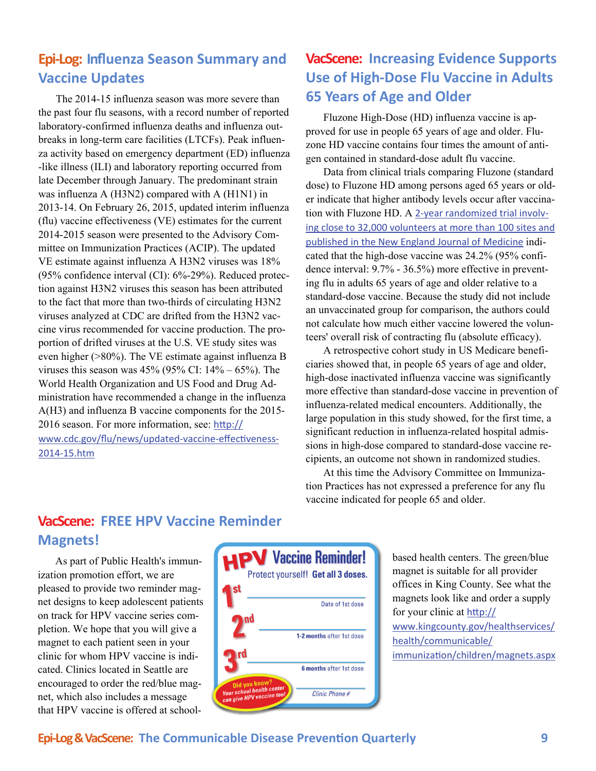#### <span id="page-8-0"></span>**Epi‐Log: Influenza Season Summary and Vaccine Updates**

The 2014-15 influenza season was more severe than the past four flu seasons, with a record number of reported laboratory-confirmed influenza deaths and influenza outbreaks in long-term care facilities (LTCFs). Peak influenza activity based on emergency department (ED) influenza -like illness (ILI) and laboratory reporting occurred from late December through January. The predominant strain was influenza A (H3N2) compared with A (H1N1) in 2013-14. On February 26, 2015, updated interim influenza (flu) vaccine effectiveness (VE) estimates for the current 2014-2015 season were presented to the Advisory Committee on Immunization Practices (ACIP). The updated VE estimate against influenza A H3N2 viruses was 18% (95% confidence interval (CI): 6%-29%). Reduced protection against H3N2 viruses this season has been attributed to the fact that more than two-thirds of circulating H3N2 viruses analyzed at CDC are drifted from the H3N2 vaccine virus recommended for vaccine production. The proportion of drifted viruses at the U.S. VE study sites was even higher (>80%). The VE estimate against influenza B viruses this season was  $45\%$  (95% CI:  $14\% - 65\%$ ). The World Health Organization and US Food and Drug Administration have recommended a change in the influenza A(H3) and influenza B vaccine components for the 2015 2016 season. For more information, see: htt[p://](http://www.cdc.gov/flu/news/updated-vaccine-effectiveness-2014-15.htm) [www.cdc.gov/flu/news/updated](http://www.cdc.gov/flu/news/updated-vaccine-effectiveness-2014-15.htm)-vaccine-effectiveness-2014‐[15.htm](http://www.cdc.gov/flu/news/updated-vaccine-effectiveness-2014-15.htm)

#### **VacScene: Increasing Evidence Supports Use of High‐Dose Flu Vaccine in Adults 65 Years of Age and Older**

Fluzone High-Dose (HD) influenza vaccine is approved for use in people 65 years of age and older. Fluzone HD vaccine contains four times the amount of antigen contained in standard-dose adult flu vaccine.

Data from clinical trials comparing Fluzone (standard dose) to Fluzone HD among persons aged 65 years or older indicate that higher antibody levels occur after vaccination with Fluzone HD. A 2‐year [randomized](http://www.nejm.org/doi/full/10.1056/NEJMoa1315727?query=featured_home) trial involv‐ ing close to 32,000 [volunteers](http://www.nejm.org/doi/full/10.1056/NEJMoa1315727?query=featured_home) at more than 100 sites and [published](http://www.nejm.org/doi/full/10.1056/NEJMoa1315727?query=featured_home) in the New England Journal of Medicine indicated that the high-dose vaccine was 24.2% (95% confidence interval: 9.7% - 36.5%) more effective in preventing flu in adults 65 years of age and older relative to a standard-dose vaccine. Because the study did not include an unvaccinated group for comparison, the authors could not calculate how much either vaccine lowered the volunteers' overall risk of contracting flu (absolute efficacy).

A retrospective cohort study in US Medicare beneficiaries showed that, in people 65 years of age and older, high-dose inactivated influenza vaccine was significantly more effective than standard-dose vaccine in prevention of influenza-related medical encounters. Additionally, the large population in this study showed, for the first time, a significant reduction in influenza-related hospital admissions in high-dose compared to standard-dose vaccine recipients, an outcome not shown in randomized studies.

At this time the Advisory Committee on Immunization Practices has not expressed a preference for any flu vaccine indicated for people 65 and older.

#### **VacScene: FREE HPV Vaccine Reminder Magnets!**

As part of Public Health's immunization promotion effort, we are pleased to provide two reminder magnet designs to keep adolescent patients on track for HPV vaccine series completion. We hope that you will give a magnet to each patient seen in your clinic for whom HPV vaccine is indicated. Clinics located in Seattle are encouraged to order the red/blue magnet, which also includes a message that HPV vaccine is offered at school-



based health centers. The green/blue magnet is suitable for all provider offices in King County. See what the magnets look like and order a supply for your clinic at htt[p://](http://www.kingcounty.gov/healthservices/health/communicable/immunization/children/magnets.aspx) [www.kingcounty.gov/healthservices/](http://www.kingcounty.gov/healthservices/health/communicable/immunization/children/magnets.aspx) [health/communicable/](http://www.kingcounty.gov/healthservices/health/communicable/immunization/children/magnets.aspx) immunizati[on/children/magnets.aspx](http://www.kingcounty.gov/healthservices/health/communicable/immunization/children/magnets.aspx)